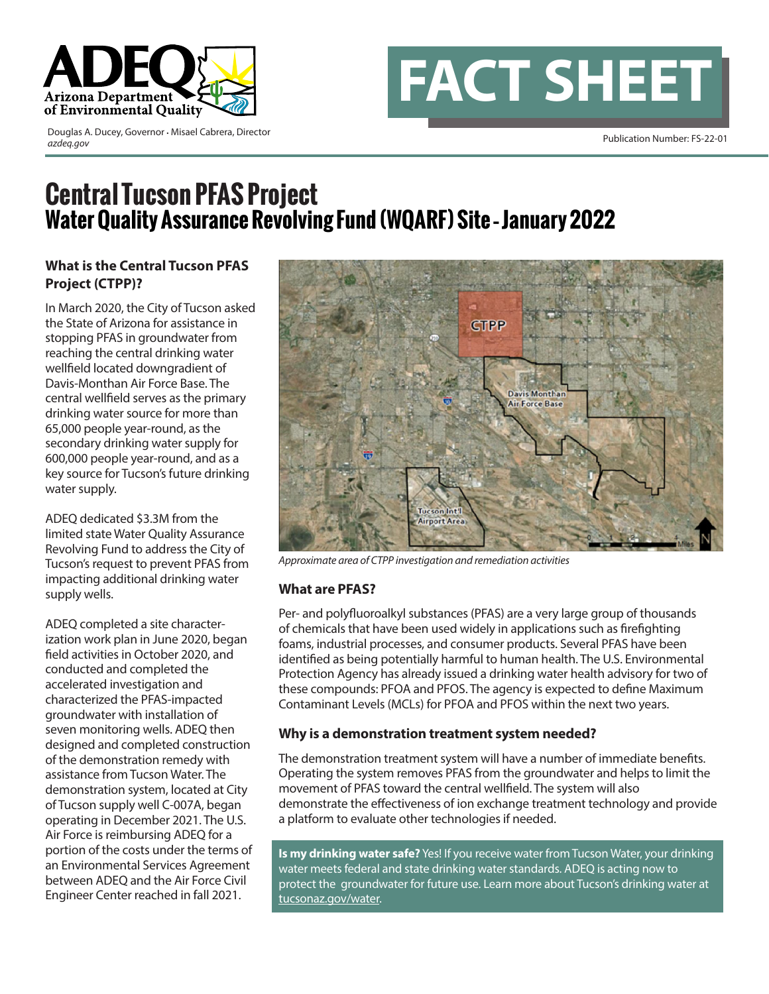

Publication Number: FS-22-01 Douglas A. Ducey, Governor • Misael Cabrera, Director *azdeq.gov*

# **FACT SHEET**

# **Central Tucson PFAS Project Water Quality Assurance Revolving Fund (WQARF) Site – January 2022**

## **What is the Central Tucson PFAS Project (CTPP)?**

In March 2020, the City of Tucson asked the State of Arizona for assistance in stopping PFAS in groundwater from reaching the central drinking water wellfield located downgradient of Davis-Monthan Air Force Base. The central wellfield serves as the primary drinking water source for more than 65,000 people year-round, as the secondary drinking water supply for 600,000 people year-round, and as a key source for Tucson's future drinking water supply.

ADEQ dedicated \$3.3M from the limited state Water Quality Assurance Revolving Fund to address the City of Tucson's request to prevent PFAS from impacting additional drinking water supply wells.

ADEQ completed a site characterization work plan in June 2020, began field activities in October 2020, and conducted and completed the accelerated investigation and characterized the PFAS-impacted groundwater with installation of seven monitoring wells. ADEQ then designed and completed construction of the demonstration remedy with assistance from Tucson Water. The demonstration system, located at City of Tucson supply well C-007A, began operating in December 2021. The U.S. Air Force is reimbursing ADEQ for a portion of the costs under the terms of an Environmental Services Agreement between ADEQ and the Air Force Civil Engineer Center reached in fall 2021.



*Approximate area of CTPP investigation and remediation activities*

#### **What are PFAS?**

Per- and polyfluoroalkyl substances (PFAS) are a very large group of thousands of chemicals that have been used widely in applications such as firefighting foams, industrial processes, and consumer products. Several PFAS have been identified as being potentially harmful to human health. The U.S. Environmental Protection Agency has already issued a drinking water health advisory for two of these compounds: PFOA and PFOS. The agency is expected to define Maximum Contaminant Levels (MCLs) for PFOA and PFOS within the next two years.

#### **Why is a demonstration treatment system needed?**

The demonstration treatment system will have a number of immediate benefits. Operating the system removes PFAS from the groundwater and helps to limit the movement of PFAS toward the central wellfield. The system will also demonstrate the effectiveness of ion exchange treatment technology and provide a platform to evaluate other technologies if needed.

**Is my drinking water safe?** Yes! If you receive water from Tucson Water, your drinking water meets federal and state drinking water standards. ADEQ is acting now to protect the groundwater for future use. Learn more about Tucson's drinking water at tucsonaz.gov/water.